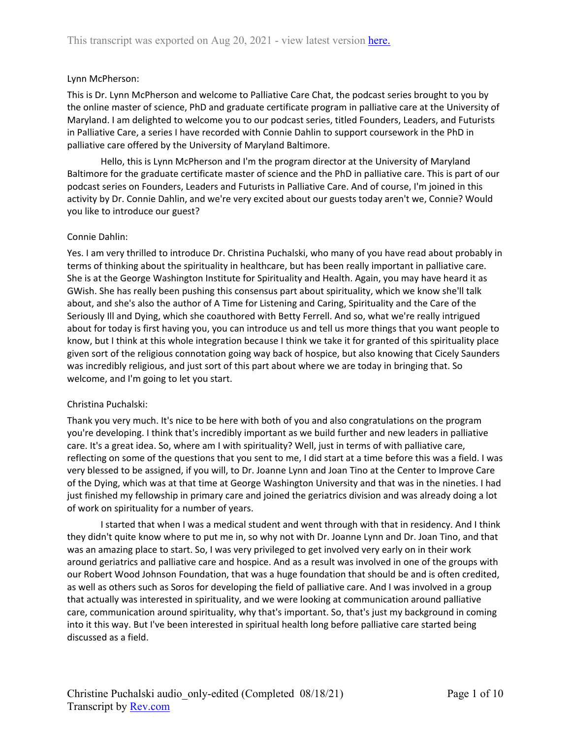## Lynn McPherson:

This is Dr. Lynn McPherson and welcome to Palliative Care Chat, the podcast series brought to you by the online master of science, PhD and graduate certificate program in palliative care at the University of Maryland. I am delighted to welcome you to our podcast series, titled Founders, Leaders, and Futurists in Palliative Care, a series I have recorded with Connie Dahlin to support coursework in the PhD in palliative care offered by the University of Maryland Baltimore.

Hello, this is Lynn McPherson and I'm the program director at the University of Maryland Baltimore for the graduate certificate master of science and the PhD in palliative care. This is part of our podcast series on Founders, Leaders and Futurists in Palliative Care. And of course, I'm joined in this activity by Dr. Connie Dahlin, and we're very excited about our guests today aren't we, Connie? Would you like to introduce our guest?

## Connie Dahlin:

Yes. I am very thrilled to introduce Dr. Christina Puchalski, who many of you have read about probably in terms of thinking about the spirituality in healthcare, but has been really important in palliative care. She is at the George Washington Institute for Spirituality and Health. Again, you may have heard it as GWish. She has really been pushing this consensus part about spirituality, which we know she'll talk about, and she's also the author of A Time for Listening and Caring, Spirituality and the Care of the Seriously Ill and Dying, which she coauthored with Betty Ferrell. And so, what we're really intrigued about for today is first having you, you can introduce us and tell us more things that you want people to know, but I think at this whole integration because I think we take it for granted of this spirituality place given sort of the religious connotation going way back of hospice, but also knowing that Cicely Saunders was incredibly religious, and just sort of this part about where we are today in bringing that. So welcome, and I'm going to let you start.

# Christina Puchalski:

Thank you very much. It's nice to be here with both of you and also congratulations on the program you're developing. I think that's incredibly important as we build further and new leaders in palliative care. It's a great idea. So, where am I with spirituality? Well, just in terms of with palliative care, reflecting on some of the questions that you sent to me, I did start at a time before this was a field. I was very blessed to be assigned, if you will, to Dr. Joanne Lynn and Joan Tino at the Center to Improve Care of the Dying, which was at that time at George Washington University and that was in the nineties. I had just finished my fellowship in primary care and joined the geriatrics division and was already doing a lot of work on spirituality for a number of years.

I started that when I was a medical student and went through with that in residency. And I think they didn't quite know where to put me in, so why not with Dr. Joanne Lynn and Dr. Joan Tino, and that was an amazing place to start. So, I was very privileged to get involved very early on in their work around geriatrics and palliative care and hospice. And as a result was involved in one of the groups with our Robert Wood Johnson Foundation, that was a huge foundation that should be and is often credited, as well as others such as Soros for developing the field of palliative care. And I was involved in a group that actually was interested in spirituality, and we were looking at communication around palliative care, communication around spirituality, why that's important. So, that's just my background in coming into it this way. But I've been interested in spiritual health long before palliative care started being discussed as a field.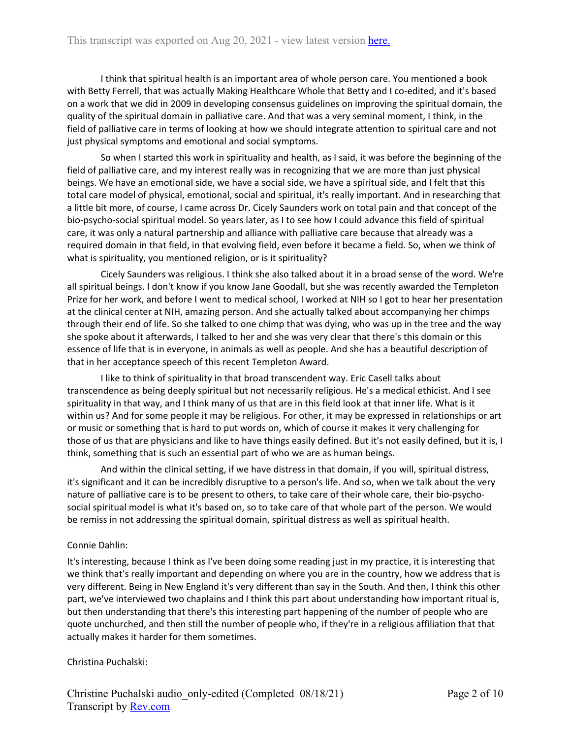I think that spiritual health is an important area of whole person care. You mentioned a book with Betty Ferrell, that was actually Making Healthcare Whole that Betty and I co-edited, and it's based on a work that we did in 2009 in developing consensus guidelines on improving the spiritual domain, the quality of the spiritual domain in palliative care. And that was a very seminal moment, I think, in the field of palliative care in terms of looking at how we should integrate attention to spiritual care and not just physical symptoms and emotional and social symptoms.

So when I started this work in spirituality and health, as I said, it was before the beginning of the field of palliative care, and my interest really was in recognizing that we are more than just physical beings. We have an emotional side, we have a social side, we have a spiritual side, and I felt that this total care model of physical, emotional, social and spiritual, it's really important. And in researching that a little bit more, of course, I came across Dr. Cicely Saunders work on total pain and that concept of the bio-psycho-social spiritual model. So years later, as I to see how I could advance this field of spiritual care, it was only a natural partnership and alliance with palliative care because that already was a required domain in that field, in that evolving field, even before it became a field. So, when we think of what is spirituality, you mentioned religion, or is it spirituality?

Cicely Saunders was religious. I think she also talked about it in a broad sense of the word. We're all spiritual beings. I don't know if you know Jane Goodall, but she was recently awarded the Templeton Prize for her work, and before I went to medical school, I worked at NIH so I got to hear her presentation at the clinical center at NIH, amazing person. And she actually talked about accompanying her chimps through their end of life. So she talked to one chimp that was dying, who was up in the tree and the way she spoke about it afterwards, I talked to her and she was very clear that there's this domain or this essence of life that is in everyone, in animals as well as people. And she has a beautiful description of that in her acceptance speech of this recent Templeton Award.

I like to think of spirituality in that broad transcendent way. Eric Casell talks about transcendence as being deeply spiritual but not necessarily religious. He's a medical ethicist. And I see spirituality in that way, and I think many of us that are in this field look at that inner life. What is it within us? And for some people it may be religious. For other, it may be expressed in relationships or art or music or something that is hard to put words on, which of course it makes it very challenging for those of us that are physicians and like to have things easily defined. But it's not easily defined, but it is, I think, something that is such an essential part of who we are as human beings.

And within the clinical setting, if we have distress in that domain, if you will, spiritual distress, it's significant and it can be incredibly disruptive to a person's life. And so, when we talk about the very nature of palliative care is to be present to others, to take care of their whole care, their bio-psychosocial spiritual model is what it's based on, so to take care of that whole part of the person. We would be remiss in not addressing the spiritual domain, spiritual distress as well as spiritual health.

# Connie Dahlin:

It's interesting, because I think as I've been doing some reading just in my practice, it is interesting that we think that's really important and depending on where you are in the country, how we address that is very different. Being in New England it's very different than say in the South. And then, I think this other part, we've interviewed two chaplains and I think this part about understanding how important ritual is, but then understanding that there's this interesting part happening of the number of people who are quote unchurched, and then still the number of people who, if they're in a religious affiliation that that actually makes it harder for them sometimes.

Christina Puchalski: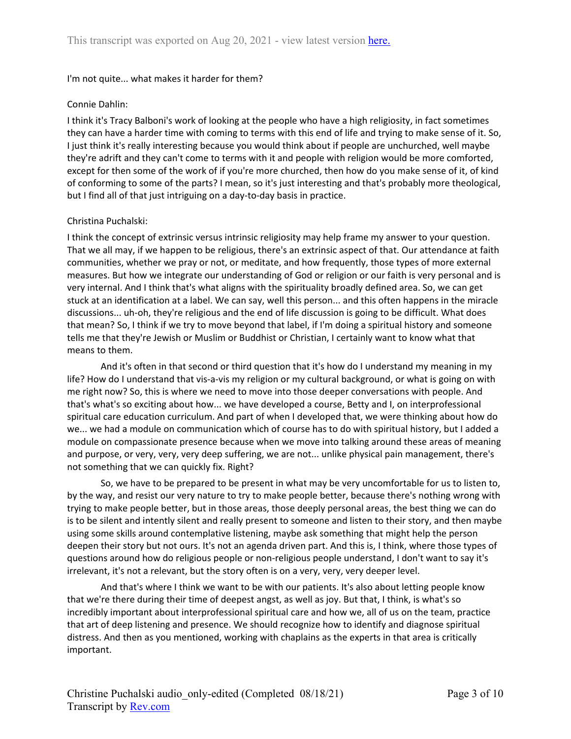## I'm not quite... what makes it harder for them?

## Connie Dahlin:

I think it's Tracy Balboni's work of looking at the people who have a high religiosity, in fact sometimes they can have a harder time with coming to terms with this end of life and trying to make sense of it. So, I just think it's really interesting because you would think about if people are unchurched, well maybe they're adrift and they can't come to terms with it and people with religion would be more comforted, except for then some of the work of if you're more churched, then how do you make sense of it, of kind of conforming to some of the parts? I mean, so it's just interesting and that's probably more theological, but I find all of that just intriguing on a day-to-day basis in practice.

## Christina Puchalski:

I think the concept of extrinsic versus intrinsic religiosity may help frame my answer to your question. That we all may, if we happen to be religious, there's an extrinsic aspect of that. Our attendance at faith communities, whether we pray or not, or meditate, and how frequently, those types of more external measures. But how we integrate our understanding of God or religion or our faith is very personal and is very internal. And I think that's what aligns with the spirituality broadly defined area. So, we can get stuck at an identification at a label. We can say, well this person... and this often happens in the miracle discussions... uh-oh, they're religious and the end of life discussion is going to be difficult. What does that mean? So, I think if we try to move beyond that label, if I'm doing a spiritual history and someone tells me that they're Jewish or Muslim or Buddhist or Christian, I certainly want to know what that means to them.

And it's often in that second or third question that it's how do I understand my meaning in my life? How do I understand that vis-a-vis my religion or my cultural background, or what is going on with me right now? So, this is where we need to move into those deeper conversations with people. And that's what's so exciting about how... we have developed a course, Betty and I, on interprofessional spiritual care education curriculum. And part of when I developed that, we were thinking about how do we... we had a module on communication which of course has to do with spiritual history, but I added a module on compassionate presence because when we move into talking around these areas of meaning and purpose, or very, very, very deep suffering, we are not... unlike physical pain management, there's not something that we can quickly fix. Right?

So, we have to be prepared to be present in what may be very uncomfortable for us to listen to, by the way, and resist our very nature to try to make people better, because there's nothing wrong with trying to make people better, but in those areas, those deeply personal areas, the best thing we can do is to be silent and intently silent and really present to someone and listen to their story, and then maybe using some skills around contemplative listening, maybe ask something that might help the person deepen their story but not ours. It's not an agenda driven part. And this is, I think, where those types of questions around how do religious people or non-religious people understand, I don't want to say it's irrelevant, it's not a relevant, but the story often is on a very, very, very deeper level.

And that's where I think we want to be with our patients. It's also about letting people know that we're there during their time of deepest angst, as well as joy. But that, I think, is what's so incredibly important about interprofessional spiritual care and how we, all of us on the team, practice that art of deep listening and presence. We should recognize how to identify and diagnose spiritual distress. And then as you mentioned, working with chaplains as the experts in that area is critically important.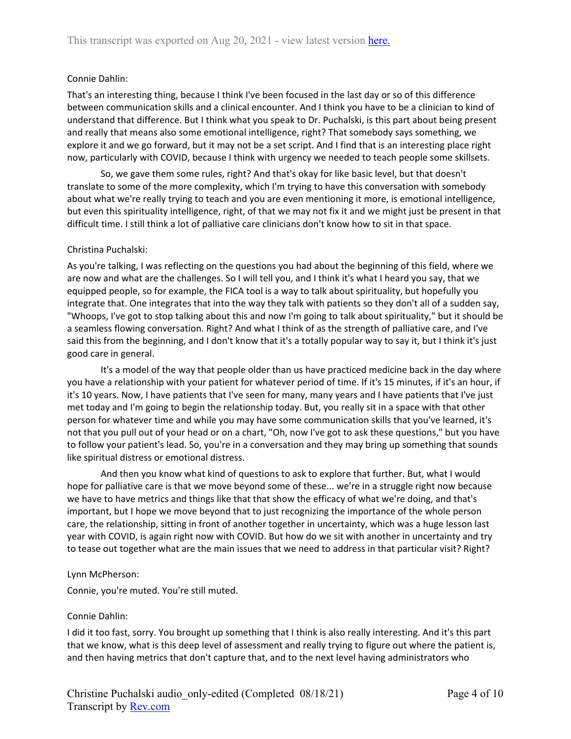## Connie Dahlin:

That's an interesting thing, because I think I've been focused in the last day or so of this difference between communication skills and a clinical encounter. And I think you have to be a clinician to kind of understand that difference. But I think what you speak to Dr. Puchalski, is this part about being present and really that means also some emotional intelligence, right? That somebody says something, we explore it and we go forward, but it may not be a set script. And I find that is an interesting place right now, particularly with COVID, because I think with urgency we needed to teach people some skillsets.

So, we gave them some rules, right? And that's okay for like basic level, but that doesn't translate to some of the more complexity, which I'm trying to have this conversation with somebody about what we're really trying to teach and you are even mentioning it more, is emotional intelligence, but even this spirituality intelligence, right, of that we may not fix it and we might just be present in that difficult time. I still think a lot of palliative care clinicians don't know how to sit in that space.

### Christina Puchalski:

As you're talking, I was reflecting on the questions you had about the beginning of this field, where we are now and what are the challenges. So I will tell you, and I think it's what I heard you say, that we equipped people, so for example, the FICA tool is a way to talk about spirituality, but hopefully you integrate that. One integrates that into the way they talk with patients so they don't all of a sudden say, "Whoops, I've got to stop talking about this and now I'm going to talk about spirituality," but it should be a seamless flowing conversation. Right? And what I think of as the strength of palliative care, and I've said this from the beginning, and I don't know that it's a totally popular way to say it, but I think it's just good care in general.

It's a model of the way that people older than us have practiced medicine back in the day where you have a relationship with your patient for whatever period of time. If it's 15 minutes, if it's an hour, if it's 10 years. Now, I have patients that I've seen for many, many years and I have patients that I've just met today and I'm going to begin the relationship today. But, you really sit in a space with that other person for whatever time and while you may have some communication skills that you've learned, it's not that you pull out of your head or on a chart, "Oh, now I've got to ask these questions," but you have to follow your patient's lead. So, you're in a conversation and they may bring up something that sounds like spiritual distress or emotional distress.

And then you know what kind of questions to ask to explore that further. But, what I would hope for palliative care is that we move beyond some of these... we're in a struggle right now because we have to have metrics and things like that that show the efficacy of what we're doing, and that's important, but I hope we move beyond that to just recognizing the importance of the whole person care, the relationship, sitting in front of another together in uncertainty, which was a huge lesson last year with COVID, is again right now with COVID. But how do we sit with another in uncertainty and try to tease out together what are the main issues that we need to address in that particular visit? Right?

### Lynn McPherson:

Connie, you're muted. You're still muted.

### Connie Dahlin:

I did it too fast, sorry. You brought up something that I think is also really interesting. And it's this part that we know, what is this deep level of assessment and really trying to figure out where the patient is, and then having metrics that don't capture that, and to the next level having administrators who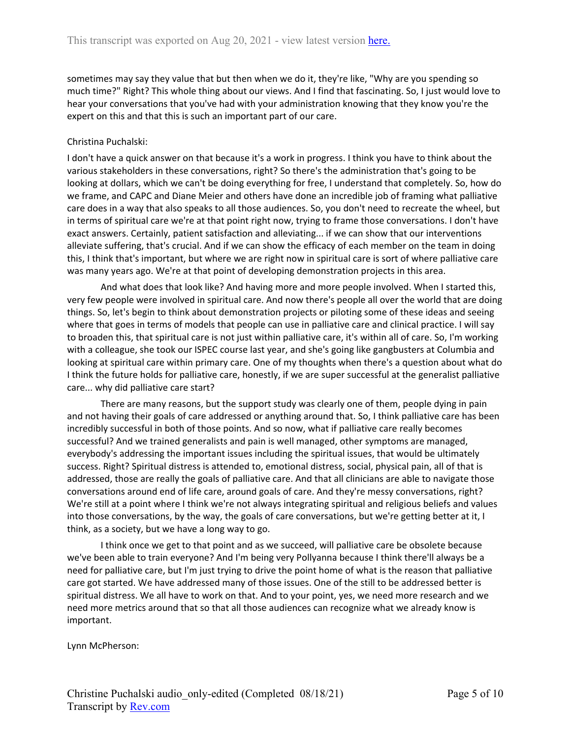sometimes may say they value that but then when we do it, they're like, "Why are you spending so much time?" Right? This whole thing about our views. And I find that fascinating. So, I just would love to hear your conversations that you've had with your administration knowing that they know you're the expert on this and that this is such an important part of our care.

## Christina Puchalski:

I don't have a quick answer on that because it's a work in progress. I think you have to think about the various stakeholders in these conversations, right? So there's the administration that's going to be looking at dollars, which we can't be doing everything for free, I understand that completely. So, how do we frame, and CAPC and Diane Meier and others have done an incredible job of framing what palliative care does in a way that also speaks to all those audiences. So, you don't need to recreate the wheel, but in terms of spiritual care we're at that point right now, trying to frame those conversations. I don't have exact answers. Certainly, patient satisfaction and alleviating... if we can show that our interventions alleviate suffering, that's crucial. And if we can show the efficacy of each member on the team in doing this, I think that's important, but where we are right now in spiritual care is sort of where palliative care was many years ago. We're at that point of developing demonstration projects in this area.

And what does that look like? And having more and more people involved. When I started this, very few people were involved in spiritual care. And now there's people all over the world that are doing things. So, let's begin to think about demonstration projects or piloting some of these ideas and seeing where that goes in terms of models that people can use in palliative care and clinical practice. I will say to broaden this, that spiritual care is not just within palliative care, it's within all of care. So, I'm working with a colleague, she took our ISPEC course last year, and she's going like gangbusters at Columbia and looking at spiritual care within primary care. One of my thoughts when there's a question about what do I think the future holds for palliative care, honestly, if we are super successful at the generalist palliative care... why did palliative care start?

There are many reasons, but the support study was clearly one of them, people dying in pain and not having their goals of care addressed or anything around that. So, I think palliative care has been incredibly successful in both of those points. And so now, what if palliative care really becomes successful? And we trained generalists and pain is well managed, other symptoms are managed, everybody's addressing the important issues including the spiritual issues, that would be ultimately success. Right? Spiritual distress is attended to, emotional distress, social, physical pain, all of that is addressed, those are really the goals of palliative care. And that all clinicians are able to navigate those conversations around end of life care, around goals of care. And they're messy conversations, right? We're still at a point where I think we're not always integrating spiritual and religious beliefs and values into those conversations, by the way, the goals of care conversations, but we're getting better at it, I think, as a society, but we have a long way to go.

I think once we get to that point and as we succeed, will palliative care be obsolete because we've been able to train everyone? And I'm being very Pollyanna because I think there'll always be a need for palliative care, but I'm just trying to drive the point home of what is the reason that palliative care got started. We have addressed many of those issues. One of the still to be addressed better is spiritual distress. We all have to work on that. And to your point, yes, we need more research and we need more metrics around that so that all those audiences can recognize what we already know is important.

Lynn McPherson: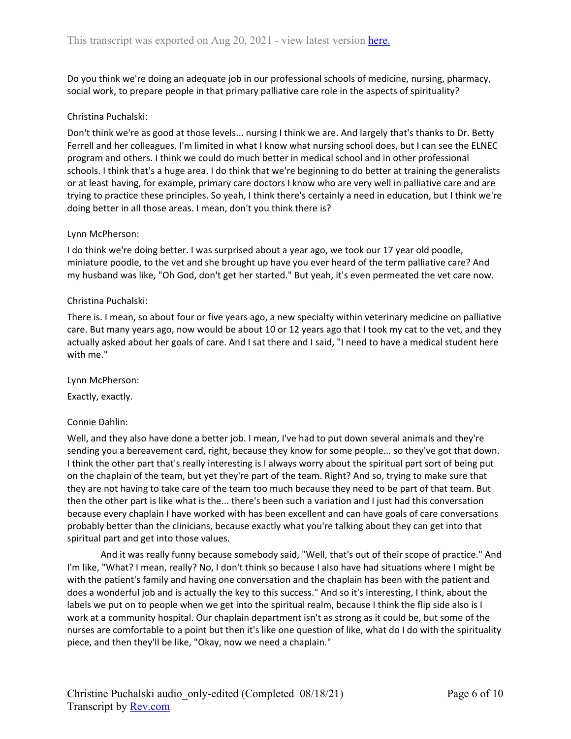Do you think we're doing an adequate job in our professional schools of medicine, nursing, pharmacy, social work, to prepare people in that primary palliative care role in the aspects of spirituality?

### Christina Puchalski:

Don't think we're as good at those levels... nursing I think we are. And largely that's thanks to Dr. Betty Ferrell and her colleagues. I'm limited in what I know what nursing school does, but I can see the ELNEC program and others. I think we could do much better in medical school and in other professional schools. I think that's a huge area. I do think that we're beginning to do better at training the generalists or at least having, for example, primary care doctors I know who are very well in palliative care and are trying to practice these principles. So yeah, I think there's certainly a need in education, but I think we're doing better in all those areas. I mean, don't you think there is?

### Lynn McPherson:

I do think we're doing better. I was surprised about a year ago, we took our 17 year old poodle, miniature poodle, to the vet and she brought up have you ever heard of the term palliative care? And my husband was like, "Oh God, don't get her started." But yeah, it's even permeated the vet care now.

### Christina Puchalski:

There is. I mean, so about four or five years ago, a new specialty within veterinary medicine on palliative care. But many years ago, now would be about 10 or 12 years ago that I took my cat to the vet, and they actually asked about her goals of care. And I sat there and I said, "I need to have a medical student here with me."

Lynn McPherson:

Exactly, exactly.

### Connie Dahlin:

Well, and they also have done a better job. I mean, I've had to put down several animals and they're sending you a bereavement card, right, because they know for some people... so they've got that down. I think the other part that's really interesting is I always worry about the spiritual part sort of being put on the chaplain of the team, but yet they're part of the team. Right? And so, trying to make sure that they are not having to take care of the team too much because they need to be part of that team. But then the other part is like what is the... there's been such a variation and I just had this conversation because every chaplain I have worked with has been excellent and can have goals of care conversations probably better than the clinicians, because exactly what you're talking about they can get into that spiritual part and get into those values.

And it was really funny because somebody said, "Well, that's out of their scope of practice." And I'm like, "What? I mean, really? No, I don't think so because I also have had situations where I might be with the patient's family and having one conversation and the chaplain has been with the patient and does a wonderful job and is actually the key to this success." And so it's interesting, I think, about the labels we put on to people when we get into the spiritual realm, because I think the flip side also is I work at a community hospital. Our chaplain department isn't as strong as it could be, but some of the nurses are comfortable to a point but then it's like one question of like, what do I do with the spirituality piece, and then they'll be like, "Okay, now we need a chaplain."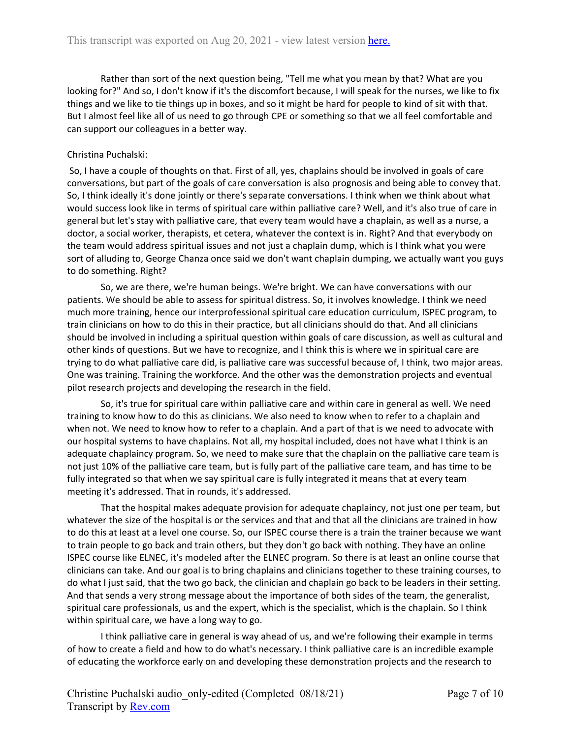Rather than sort of the next question being, "Tell me what you mean by that? What are you looking for?" And so, I don't know if it's the discomfort because, I will speak for the nurses, we like to fix things and we like to tie things up in boxes, and so it might be hard for people to kind of sit with that. But I almost feel like all of us need to go through CPE or something so that we all feel comfortable and can support our colleagues in a better way.

## Christina Puchalski:

So, I have a couple of thoughts on that. First of all, yes, chaplains should be involved in goals of care conversations, but part of the goals of care conversation is also prognosis and being able to convey that. So, I think ideally it's done jointly or there's separate conversations. I think when we think about what would success look like in terms of spiritual care within palliative care? Well, and it's also true of care in general but let's stay with palliative care, that every team would have a chaplain, as well as a nurse, a doctor, a social worker, therapists, et cetera, whatever the context is in. Right? And that everybody on the team would address spiritual issues and not just a chaplain dump, which is I think what you were sort of alluding to, George Chanza once said we don't want chaplain dumping, we actually want you guys to do something. Right?

So, we are there, we're human beings. We're bright. We can have conversations with our patients. We should be able to assess for spiritual distress. So, it involves knowledge. I think we need much more training, hence our interprofessional spiritual care education curriculum, ISPEC program, to train clinicians on how to do this in their practice, but all clinicians should do that. And all clinicians should be involved in including a spiritual question within goals of care discussion, as well as cultural and other kinds of questions. But we have to recognize, and I think this is where we in spiritual care are trying to do what palliative care did, is palliative care was successful because of, I think, two major areas. One was training. Training the workforce. And the other was the demonstration projects and eventual pilot research projects and developing the research in the field.

So, it's true for spiritual care within palliative care and within care in general as well. We need training to know how to do this as clinicians. We also need to know when to refer to a chaplain and when not. We need to know how to refer to a chaplain. And a part of that is we need to advocate with our hospital systems to have chaplains. Not all, my hospital included, does not have what I think is an adequate chaplaincy program. So, we need to make sure that the chaplain on the palliative care team is not just 10% of the palliative care team, but is fully part of the palliative care team, and has time to be fully integrated so that when we say spiritual care is fully integrated it means that at every team meeting it's addressed. That in rounds, it's addressed.

That the hospital makes adequate provision for adequate chaplaincy, not just one per team, but whatever the size of the hospital is or the services and that and that all the clinicians are trained in how to do this at least at a level one course. So, our ISPEC course there is a train the trainer because we want to train people to go back and train others, but they don't go back with nothing. They have an online ISPEC course like ELNEC, it's modeled after the ELNEC program. So there is at least an online course that clinicians can take. And our goal is to bring chaplains and clinicians together to these training courses, to do what I just said, that the two go back, the clinician and chaplain go back to be leaders in their setting. And that sends a very strong message about the importance of both sides of the team, the generalist, spiritual care professionals, us and the expert, which is the specialist, which is the chaplain. So I think within spiritual care, we have a long way to go.

I think palliative care in general is way ahead of us, and we're following their example in terms of how to create a field and how to do what's necessary. I think palliative care is an incredible example of educating the workforce early on and developing these demonstration projects and the research to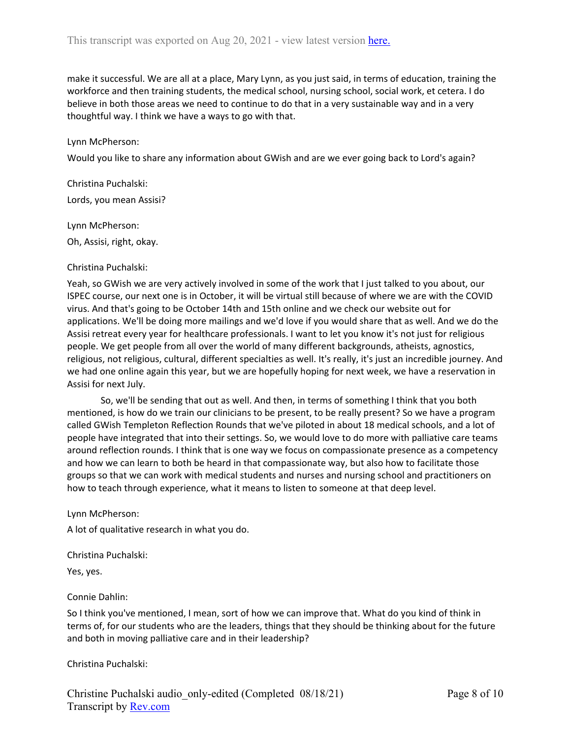make it successful. We are all at a place, Mary Lynn, as you just said, in terms of education, training the workforce and then training students, the medical school, nursing school, social work, et cetera. I do believe in both those areas we need to continue to do that in a very sustainable way and in a very thoughtful way. I think we have a ways to go with that.

#### Lynn McPherson:

Would you like to share any information about GWish and are we ever going back to Lord's again?

Christina Puchalski: Lords, you mean Assisi?

Lynn McPherson:

Oh, Assisi, right, okay.

#### Christina Puchalski:

Yeah, so GWish we are very actively involved in some of the work that I just talked to you about, our ISPEC course, our next one is in October, it will be virtual still because of where we are with the COVID virus. And that's going to be October 14th and 15th online and we check our website out for applications. We'll be doing more mailings and we'd love if you would share that as well. And we do the Assisi retreat every year for healthcare professionals. I want to let you know it's not just for religious people. We get people from all over the world of many different backgrounds, atheists, agnostics, religious, not religious, cultural, different specialties as well. It's really, it's just an incredible journey. And we had one online again this year, but we are hopefully hoping for next week, we have a reservation in Assisi for next July.

So, we'll be sending that out as well. And then, in terms of something I think that you both mentioned, is how do we train our clinicians to be present, to be really present? So we have a program called GWish Templeton Reflection Rounds that we've piloted in about 18 medical schools, and a lot of people have integrated that into their settings. So, we would love to do more with palliative care teams around reflection rounds. I think that is one way we focus on compassionate presence as a competency and how we can learn to both be heard in that compassionate way, but also how to facilitate those groups so that we can work with medical students and nurses and nursing school and practitioners on how to teach through experience, what it means to listen to someone at that deep level.

Lynn McPherson:

A lot of qualitative research in what you do.

Christina Puchalski:

Yes, yes.

Connie Dahlin:

So I think you've mentioned, I mean, sort of how we can improve that. What do you kind of think in terms of, for our students who are the leaders, things that they should be thinking about for the future and both in moving palliative care and in their leadership?

Christina Puchalski: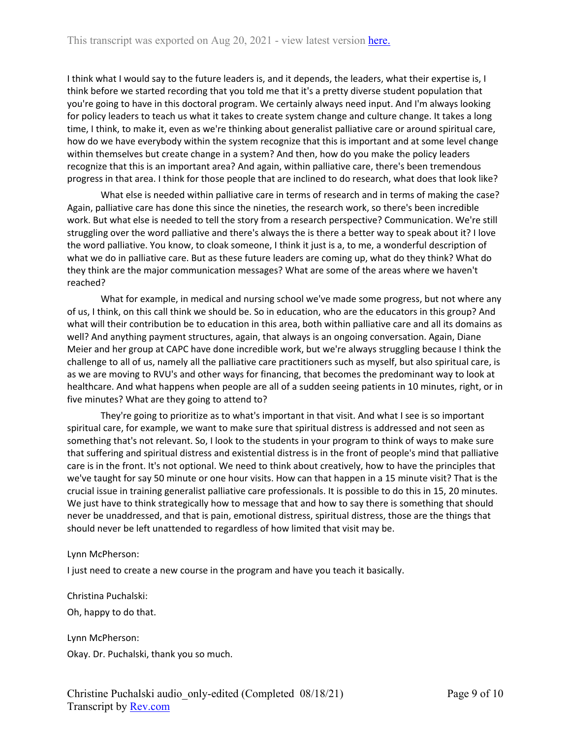I think what I would say to the future leaders is, and it depends, the leaders, what their expertise is, I think before we started recording that you told me that it's a pretty diverse student population that you're going to have in this doctoral program. We certainly always need input. And I'm always looking for policy leaders to teach us what it takes to create system change and culture change. It takes a long time, I think, to make it, even as we're thinking about generalist palliative care or around spiritual care, how do we have everybody within the system recognize that this is important and at some level change within themselves but create change in a system? And then, how do you make the policy leaders recognize that this is an important area? And again, within palliative care, there's been tremendous progress in that area. I think for those people that are inclined to do research, what does that look like?

What else is needed within palliative care in terms of research and in terms of making the case? Again, palliative care has done this since the nineties, the research work, so there's been incredible work. But what else is needed to tell the story from a research perspective? Communication. We're still struggling over the word palliative and there's always the is there a better way to speak about it? I love the word palliative. You know, to cloak someone, I think it just is a, to me, a wonderful description of what we do in palliative care. But as these future leaders are coming up, what do they think? What do they think are the major communication messages? What are some of the areas where we haven't reached?

What for example, in medical and nursing school we've made some progress, but not where any of us, I think, on this call think we should be. So in education, who are the educators in this group? And what will their contribution be to education in this area, both within palliative care and all its domains as well? And anything payment structures, again, that always is an ongoing conversation. Again, Diane Meier and her group at CAPC have done incredible work, but we're always struggling because I think the challenge to all of us, namely all the palliative care practitioners such as myself, but also spiritual care, is as we are moving to RVU's and other ways for financing, that becomes the predominant way to look at healthcare. And what happens when people are all of a sudden seeing patients in 10 minutes, right, or in five minutes? What are they going to attend to?

They're going to prioritize as to what's important in that visit. And what I see is so important spiritual care, for example, we want to make sure that spiritual distress is addressed and not seen as something that's not relevant. So, I look to the students in your program to think of ways to make sure that suffering and spiritual distress and existential distress is in the front of people's mind that palliative care is in the front. It's not optional. We need to think about creatively, how to have the principles that we've taught for say 50 minute or one hour visits. How can that happen in a 15 minute visit? That is the crucial issue in training generalist palliative care professionals. It is possible to do this in 15, 20 minutes. We just have to think strategically how to message that and how to say there is something that should never be unaddressed, and that is pain, emotional distress, spiritual distress, those are the things that should never be left unattended to regardless of how limited that visit may be.

### Lynn McPherson:

I just need to create a new course in the program and have you teach it basically.

Christina Puchalski:

Oh, happy to do that.

Lynn McPherson: Okay. Dr. Puchalski, thank you so much.